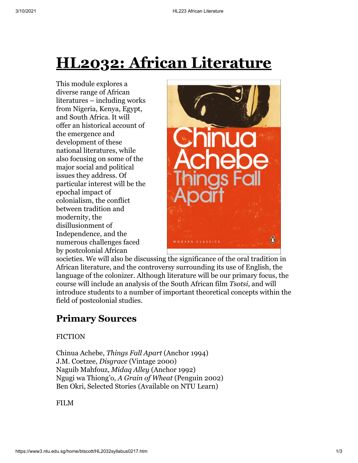# **HL2032: African Literature**

This module explores a diverse range of African literatures – including works from Nigeria, Kenya, Egypt, and South Africa. It will offer an historical account of the emergence and development of these national literatures, while also focusing on some of the major social and political issues they address. Of particular interest will be the epochal impact of colonialism, the conflict between tradition and modernity, the disillusionment of Independence, and the numerous challenges faced by postcolonial African



societies. We will also be discussing the significance of the oral tradition in African literature, and the controversy surrounding its use of English, the language of the colonizer. Although literature will be our primary focus, the course will include an analysis of the South African film *Tsotsi*, and will introduce students to a number of important theoretical concepts within the field of postcolonial studies.

## **Primary Sources**

#### FICTION

Chinua Achebe, *Things Fall Apart* (Anchor 1994) J.M. Coetzee, *Disgrace* (Vintage 2000) Naguib Mahfouz, *Midaq Alley* (Anchor 1992) Ngugi wa Thiong'o, *A Grain of Wheat* (Penguin 2002) Ben Okri, Selected Stories (Available on NTU Learn)

FILM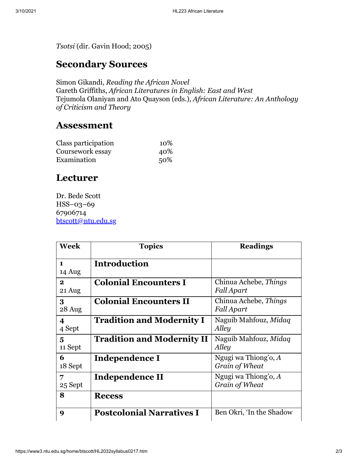*Tsotsi* (dir. Gavin Hood; 2005)

### **Secondary Sources**

Simon Gikandi, *Reading the African Novel* Gareth Griffiths, *African Literatures in English: East and West* Tejumola Olaniyan and Ato Quayson (eds.), *African Literature: An Anthology of Criticism and Theory*

#### **Assessment**

| Class participation | 10% |
|---------------------|-----|
| Coursework essay    | 40% |
| Examination         | 50% |

### **Lecturer**

Dr. Bede Scott HSS–03–69 67906714 [btscott@ntu.edu.sg](mailto:btscott@ntu.edu.sg)

| <b>Week</b>                       | <b>Topics</b>                     | <b>Readings</b>                          |
|-----------------------------------|-----------------------------------|------------------------------------------|
| $\mathbf{1}$<br>14 Aug            | <b>Introduction</b>               |                                          |
| $\mathbf{2}$<br>21 Aug            | <b>Colonial Encounters I</b>      | Chinua Achebe, Things<br>Fall Apart      |
| 3<br>28 Aug                       | <b>Colonial Encounters II</b>     | Chinua Achebe, Things<br>Fall Apart      |
| $\overline{\mathbf{4}}$<br>4 Sept | <b>Tradition and Modernity I</b>  | Naguib Mahfouz, Midaq<br>Alley           |
| 5<br>11 Sept                      | <b>Tradition and Modernity II</b> | Naguib Mahfouz, Midaq<br>Alley           |
| 6<br>18 Sept                      | Independence I                    | Ngugi wa Thiong'o, $A$<br>Grain of Wheat |
| 7<br>25 Sept                      | Independence II                   | Ngugi wa Thiong'o, A<br>Grain of Wheat   |
| 8                                 | <b>Recess</b>                     |                                          |
| 9                                 | <b>Postcolonial Narratives I</b>  | Ben Okri, 'In the Shadow                 |